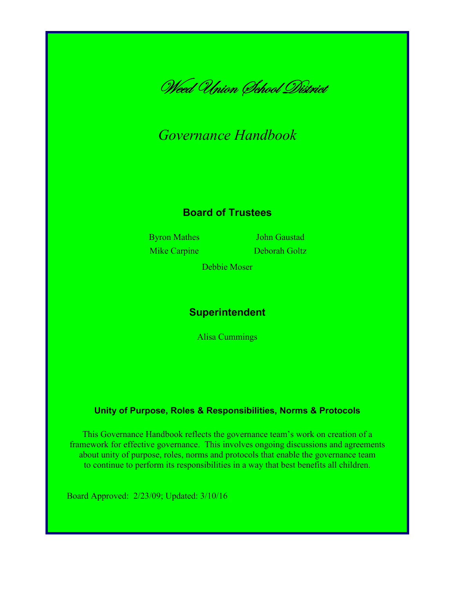

# *Governance Handbook*

#### **Board of Trustees**

Byron Mathes **John Gaustad** Mike Carpine Deborah Goltz

Debbie Moser

### **Superintendent**

Alisa Cummings

#### **Unity of Purpose, Roles & Responsibilities, Norms & Protocols**

This Governance Handbook reflects the governance team's work on creation of a framework for effective governance. This involves ongoing discussions and agreements about unity of purpose, roles, norms and protocols that enable the governance team to continue to perform its responsibilities in a way that best benefits all children.

Board Approved: 2/23/09; Updated: 3/10/16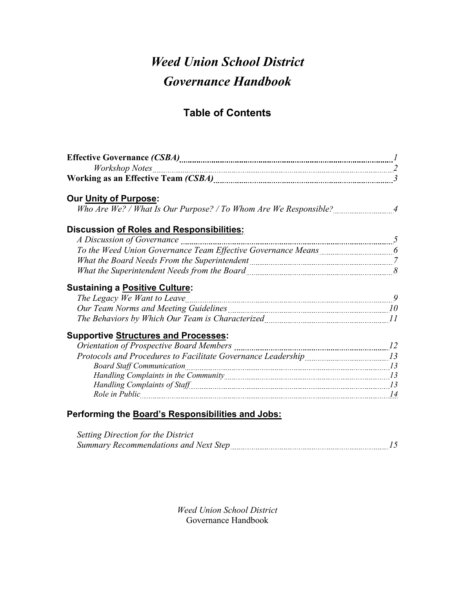# *Weed Union School District Governance Handbook*

# **Table of Contents**

| Our Unity of Purpose:                                                                                                                                                                                                                |  |
|--------------------------------------------------------------------------------------------------------------------------------------------------------------------------------------------------------------------------------------|--|
|                                                                                                                                                                                                                                      |  |
| Discussion of Roles and Responsibilities:                                                                                                                                                                                            |  |
| A Discussion of Governance <i>manual communicanal contract of Governance</i> 5                                                                                                                                                       |  |
| To the Weed Union Governance Team Effective Governance Means [1001] [60] To the Weed Union Governance Team Effective Governance Means                                                                                                |  |
| What the Board Needs From the Superintendent [11] Matter the Board Needs From the Superintendent [7] Matter Su                                                                                                                       |  |
|                                                                                                                                                                                                                                      |  |
| <b>Sustaining a Positive Culture:</b>                                                                                                                                                                                                |  |
|                                                                                                                                                                                                                                      |  |
| Our Team Norms and Meeting Guidelines <b>Manual Accord Contract Contract Contract Contract Contract Contract Contract Contract Contract Contract Contract Contract Contract Contract Contract Contract Contract Contract Contrac</b> |  |
|                                                                                                                                                                                                                                      |  |
| <b>Supportive Structures and Processes:</b>                                                                                                                                                                                          |  |
|                                                                                                                                                                                                                                      |  |
| Protocols and Procedures to Facilitate Governance Leadership [13] [13] Protocols and Procedures to Facilitate Governance Leadership                                                                                                  |  |
|                                                                                                                                                                                                                                      |  |
|                                                                                                                                                                                                                                      |  |
|                                                                                                                                                                                                                                      |  |
| Role in Public 14                                                                                                                                                                                                                    |  |
| Performing the Board's Responsibilities and Jobs:                                                                                                                                                                                    |  |
| Setting Direction for the District                                                                                                                                                                                                   |  |
|                                                                                                                                                                                                                                      |  |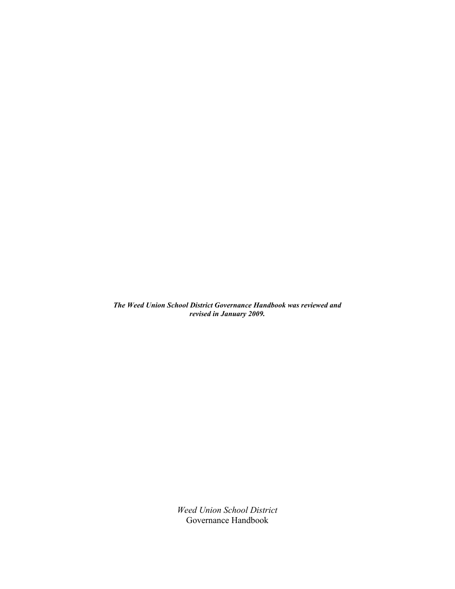*The Weed Union School District Governance Handbook was reviewed and revised in January 2009.*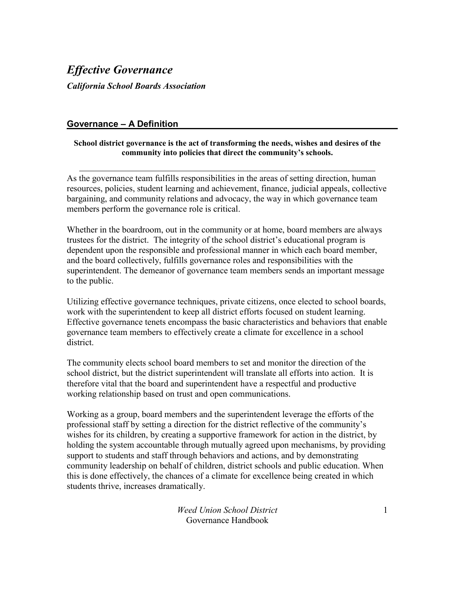### *Effective Governance*

*California School Boards Association*

#### **Governance – A Definition**

#### **School district governance is the act of transforming the needs, wishes and desires of the community into policies that direct the community's schools.**

As the governance team fulfills responsibilities in the areas of setting direction, human resources, policies, student learning and achievement, finance, judicial appeals, collective bargaining, and community relations and advocacy, the way in which governance team members perform the governance role is critical.

Whether in the boardroom, out in the community or at home, board members are always trustees for the district. The integrity of the school district's educational program is dependent upon the responsible and professional manner in which each board member, and the board collectively, fulfills governance roles and responsibilities with the superintendent. The demeanor of governance team members sends an important message to the public.

Utilizing effective governance techniques, private citizens, once elected to school boards, work with the superintendent to keep all district efforts focused on student learning. Effective governance tenets encompass the basic characteristics and behaviors that enable governance team members to effectively create a climate for excellence in a school district.

The community elects school board members to set and monitor the direction of the school district, but the district superintendent will translate all efforts into action. It is therefore vital that the board and superintendent have a respectful and productive working relationship based on trust and open communications.

Working as a group, board members and the superintendent leverage the efforts of the professional staff by setting a direction for the district reflective of the community's wishes for its children, by creating a supportive framework for action in the district, by holding the system accountable through mutually agreed upon mechanisms, by providing support to students and staff through behaviors and actions, and by demonstrating community leadership on behalf of children, district schools and public education. When this is done effectively, the chances of a climate for excellence being created in which students thrive, increases dramatically.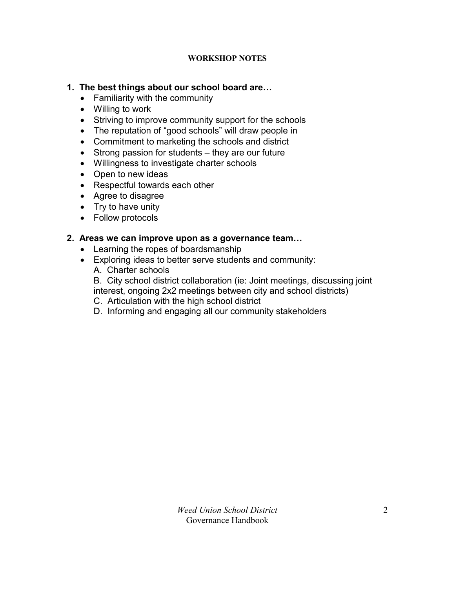#### **WORKSHOP NOTES**

#### **1. The best things about our school board are…**

- Familiarity with the community
- Willing to work
- Striving to improve community support for the schools
- The reputation of "good schools" will draw people in
- Commitment to marketing the schools and district
- Strong passion for students they are our future
- Willingness to investigate charter schools
- Open to new ideas
- Respectful towards each other
- Agree to disagree
- $\bullet$  Try to have unity
- Follow protocols

#### **2. Areas we can improve upon as a governance team…**

- Learning the ropes of boardsmanship
- Exploring ideas to better serve students and community:
	- A. Charter schools
	- B. City school district collaboration (ie: Joint meetings, discussing joint interest, ongoing 2x2 meetings between city and school districts)
	- C. Articulation with the high school district
	- D. Informing and engaging all our community stakeholders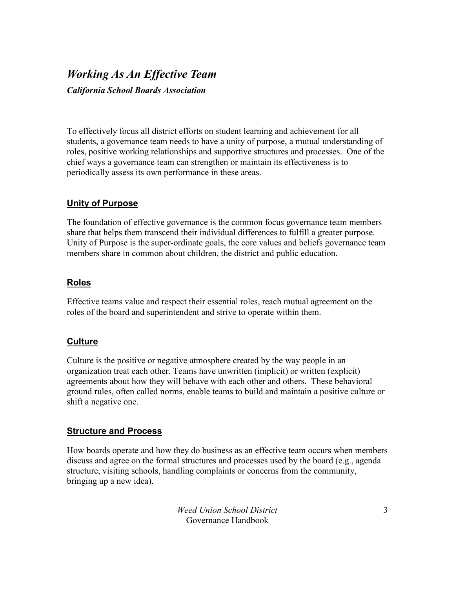# *Working As An Effective Team*

*California School Boards Association*

To effectively focus all district efforts on student learning and achievement for all students, a governance team needs to have a unity of purpose, a mutual understanding of roles, positive working relationships and supportive structures and processes. One of the chief ways a governance team can strengthen or maintain its effectiveness is to periodically assess its own performance in these areas.

#### **Unity of Purpose**

The foundation of effective governance is the common focus governance team members share that helps them transcend their individual differences to fulfill a greater purpose. Unity of Purpose is the super-ordinate goals, the core values and beliefs governance team members share in common about children, the district and public education.

#### **Roles**

Effective teams value and respect their essential roles, reach mutual agreement on the roles of the board and superintendent and strive to operate within them.

#### **Culture**

Culture is the positive or negative atmosphere created by the way people in an organization treat each other. Teams have unwritten (implicit) or written (explicit) agreements about how they will behave with each other and others. These behavioral ground rules, often called norms, enable teams to build and maintain a positive culture or shift a negative one.

#### **Structure and Process**

How boards operate and how they do business as an effective team occurs when members discuss and agree on the formal structures and processes used by the board (e.g., agenda structure, visiting schools, handling complaints or concerns from the community, bringing up a new idea).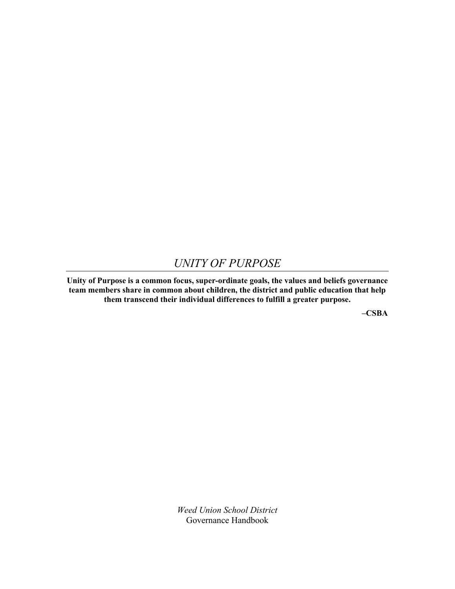### *UNITY OF PURPOSE*

**Unity of Purpose is a common focus, super-ordinate goals, the values and beliefs governance team members share in common about children, the district and public education that help them transcend their individual differences to fulfill a greater purpose.**

**–CSBA**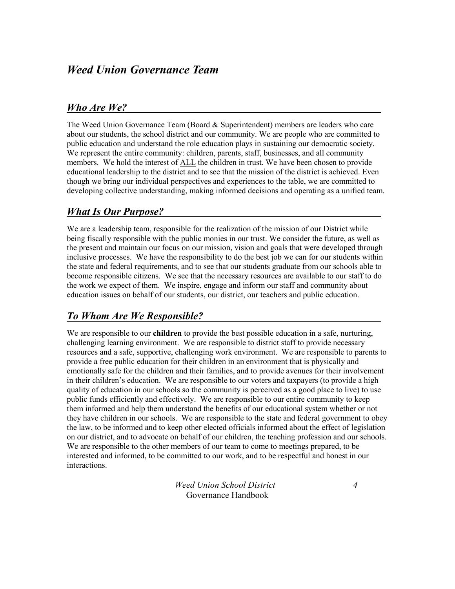## *Weed Union Governance Team*

#### *Who Are We?*

The Weed Union Governance Team (Board & Superintendent) members are leaders who care about our students, the school district and our community. We are people who are committed to public education and understand the role education plays in sustaining our democratic society. We represent the entire community: children, parents, staff, businesses, and all community members. We hold the interest of ALL the children in trust. We have been chosen to provide educational leadership to the district and to see that the mission of the district is achieved. Even though we bring our individual perspectives and experiences to the table, we are committed to developing collective understanding, making informed decisions and operating as a unified team.

### *What Is Our Purpose?*

We are a leadership team, responsible for the realization of the mission of our District while being fiscally responsible with the public monies in our trust. We consider the future, as well as the present and maintain our focus on our mission, vision and goals that were developed through inclusive processes. We have the responsibility to do the best job we can for our students within the state and federal requirements, and to see that our students graduate from our schools able to become responsible citizens. We see that the necessary resources are available to our staff to do the work we expect of them. We inspire, engage and inform our staff and community about education issues on behalf of our students, our district, our teachers and public education.

### *To Whom Are We Responsible?*

We are responsible to our **children** to provide the best possible education in a safe, nurturing, challenging learning environment. We are responsible to district staff to provide necessary resources and a safe, supportive, challenging work environment. We are responsible to parents to provide a free public education for their children in an environment that is physically and emotionally safe for the children and their families, and to provide avenues for their involvement in their children's education. We are responsible to our voters and taxpayers (to provide a high quality of education in our schools so the community is perceived as a good place to live) to use public funds efficiently and effectively. We are responsible to our entire community to keep them informed and help them understand the benefits of our educational system whether or not they have children in our schools. We are responsible to the state and federal government to obey the law, to be informed and to keep other elected officials informed about the effect of legislation on our district, and to advocate on behalf of our children, the teaching profession and our schools. We are responsible to the other members of our team to come to meetings prepared, to be interested and informed, to be committed to our work, and to be respectful and honest in our interactions.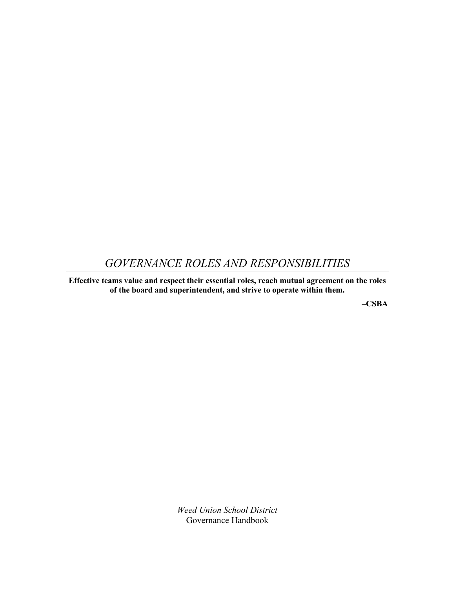## *GOVERNANCE ROLES AND RESPONSIBILITIES*

**Effective teams value and respect their essential roles, reach mutual agreement on the roles of the board and superintendent, and strive to operate within them.**

**–CSBA**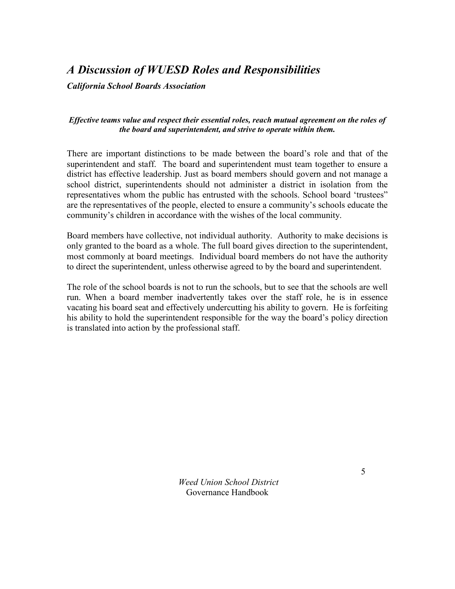# *A Discussion of WUESD Roles and Responsibilities*

*California School Boards Association*

#### *Effective teams value and respect their essential roles, reach mutual agreement on the roles of the board and superintendent, and strive to operate within them.*

There are important distinctions to be made between the board's role and that of the superintendent and staff. The board and superintendent must team together to ensure a district has effective leadership. Just as board members should govern and not manage a school district, superintendents should not administer a district in isolation from the representatives whom the public has entrusted with the schools. School board 'trustees" are the representatives of the people, elected to ensure a community's schools educate the community's children in accordance with the wishes of the local community.

Board members have collective, not individual authority. Authority to make decisions is only granted to the board as a whole. The full board gives direction to the superintendent, most commonly at board meetings. Individual board members do not have the authority to direct the superintendent, unless otherwise agreed to by the board and superintendent.

The role of the school boards is not to run the schools, but to see that the schools are well run. When a board member inadvertently takes over the staff role, he is in essence vacating his board seat and effectively undercutting his ability to govern. He is forfeiting his ability to hold the superintendent responsible for the way the board's policy direction is translated into action by the professional staff.

> *Weed Union School District*  Governance Handbook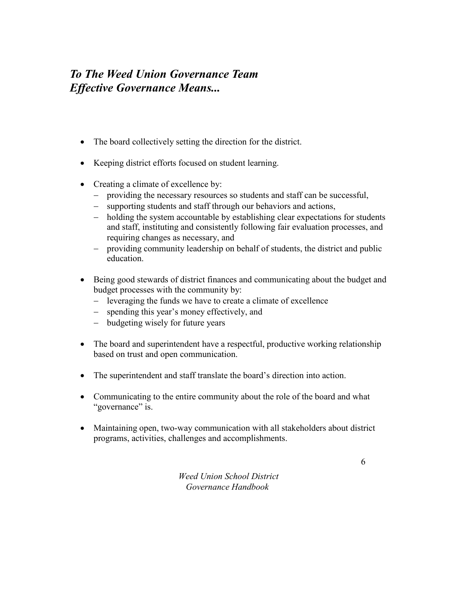# *To The Weed Union Governance Team Effective Governance Means...*

- The board collectively setting the direction for the district.
- Keeping district efforts focused on student learning.
- Creating a climate of excellence by:
	- providing the necessary resources so students and staff can be successful,
	- supporting students and staff through our behaviors and actions,
	- holding the system accountable by establishing clear expectations for students and staff, instituting and consistently following fair evaluation processes, and requiring changes as necessary, and
	- providing community leadership on behalf of students, the district and public education.
- Being good stewards of district finances and communicating about the budget and budget processes with the community by:
	- leveraging the funds we have to create a climate of excellence
	- spending this year's money effectively, and
	- budgeting wisely for future years
- The board and superintendent have a respectful, productive working relationship based on trust and open communication.
- The superintendent and staff translate the board's direction into action.
- Communicating to the entire community about the role of the board and what "governance" is.
- Maintaining open, two-way communication with all stakeholders about district programs, activities, challenges and accomplishments.

*Weed Union School District Governance Handbook*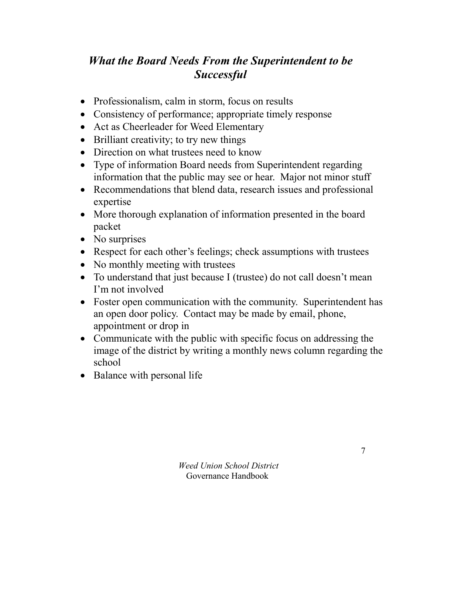# *What the Board Needs From the Superintendent to be Successful*

- Professionalism, calm in storm, focus on results
- Consistency of performance; appropriate timely response
- Act as Cheerleader for Weed Elementary
- Brilliant creativity; to try new things
- Direction on what trustees need to know
- Type of information Board needs from Superintendent regarding information that the public may see or hear. Major not minor stuff
- Recommendations that blend data, research issues and professional expertise
- More thorough explanation of information presented in the board packet
- No surprises
- Respect for each other's feelings; check assumptions with trustees
- No monthly meeting with trustees
- To understand that just because I (trustee) do not call doesn't mean I'm not involved
- Foster open communication with the community. Superintendent has an open door policy. Contact may be made by email, phone, appointment or drop in
- Communicate with the public with specific focus on addressing the image of the district by writing a monthly news column regarding the school
- Balance with personal life

*Weed Union School District*  Governance Handbook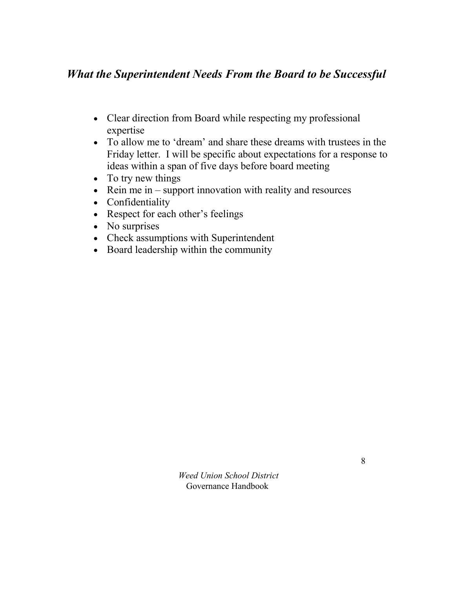# *What the Superintendent Needs From the Board to be Successful*

- Clear direction from Board while respecting my professional expertise
- To allow me to 'dream' and share these dreams with trustees in the Friday letter. I will be specific about expectations for a response to ideas within a span of five days before board meeting
- To try new things
- $\bullet$  Rein me in support innovation with reality and resources
- Confidentiality
- Respect for each other's feelings
- No surprises
- Check assumptions with Superintendent
- Board leadership within the community

*Weed Union School District*  Governance Handbook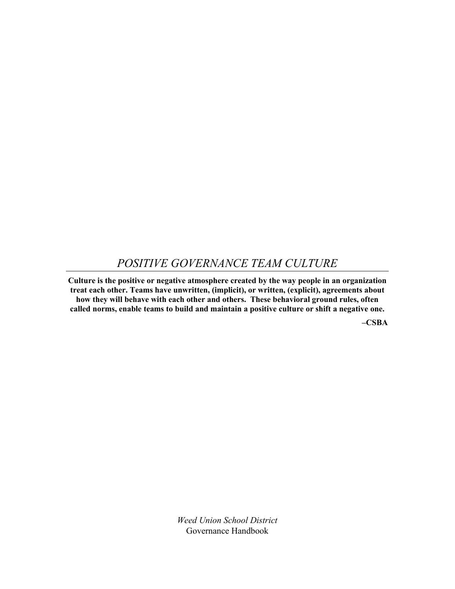### *POSITIVE GOVERNANCE TEAM CULTURE*

**Culture is the positive or negative atmosphere created by the way people in an organization treat each other. Teams have unwritten, (implicit), or written, (explicit), agreements about how they will behave with each other and others. These behavioral ground rules, often called norms, enable teams to build and maintain a positive culture or shift a negative one.**

**–CSBA**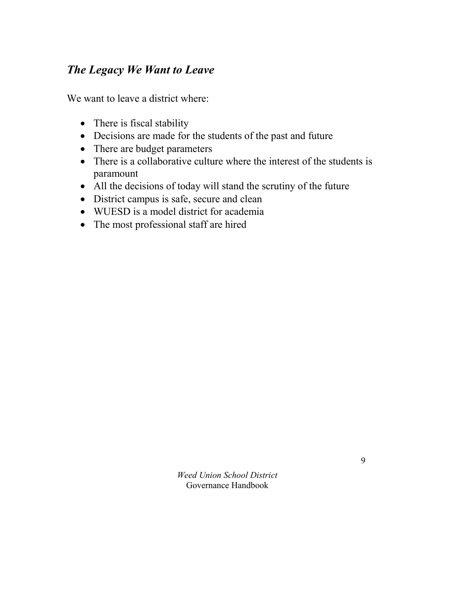# *The Legacy We Want to Leave*

We want to leave a district where:

- There is fiscal stability
- Decisions are made for the students of the past and future
- There are budget parameters
- There is a collaborative culture where the interest of the students is paramount
- All the decisions of today will stand the scrutiny of the future
- District campus is safe, secure and clean
- WUESD is a model district for academia
- The most professional staff are hired

*Weed Union School District*  Governance Handbook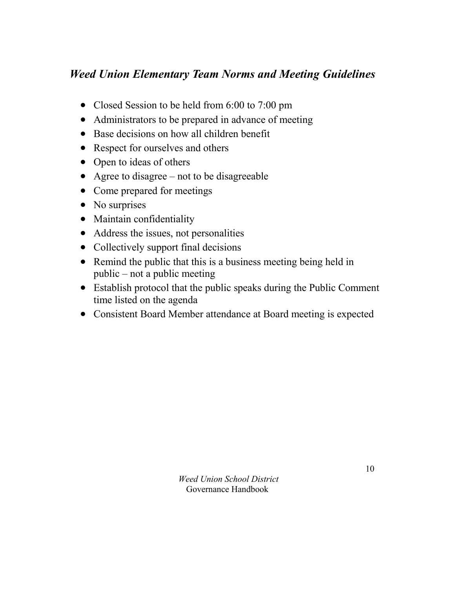# *Weed Union Elementary Team Norms and Meeting Guidelines*

- Closed Session to be held from 6:00 to 7:00 pm
- Administrators to be prepared in advance of meeting
- Base decisions on how all children benefit
- Respect for ourselves and others
- Open to ideas of others
- Agree to disagree not to be disagreeable
- Come prepared for meetings
- No surprises
- Maintain confidentiality
- Address the issues, not personalities
- Collectively support final decisions
- Remind the public that this is a business meeting being held in public – not a public meeting
- Establish protocol that the public speaks during the Public Comment time listed on the agenda
- Consistent Board Member attendance at Board meeting is expected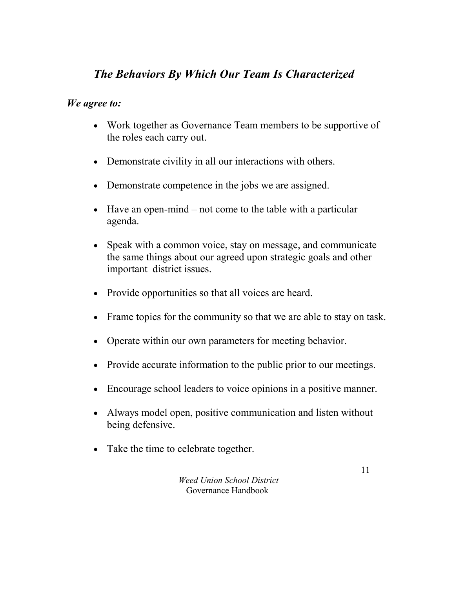# *The Behaviors By Which Our Team Is Characterized*

#### *We agree to:*

- Work together as Governance Team members to be supportive of the roles each carry out.
- Demonstrate civility in all our interactions with others.
- Demonstrate competence in the jobs we are assigned.
- $\bullet$  Have an open-mind not come to the table with a particular agenda.
- Speak with a common voice, stay on message, and communicate the same things about our agreed upon strategic goals and other important district issues.
- Provide opportunities so that all voices are heard.
- Frame topics for the community so that we are able to stay on task.
- Operate within our own parameters for meeting behavior.
- Provide accurate information to the public prior to our meetings.
- Encourage school leaders to voice opinions in a positive manner.
- Always model open, positive communication and listen without being defensive.
- Take the time to celebrate together.

*Weed Union School District*  Governance Handbook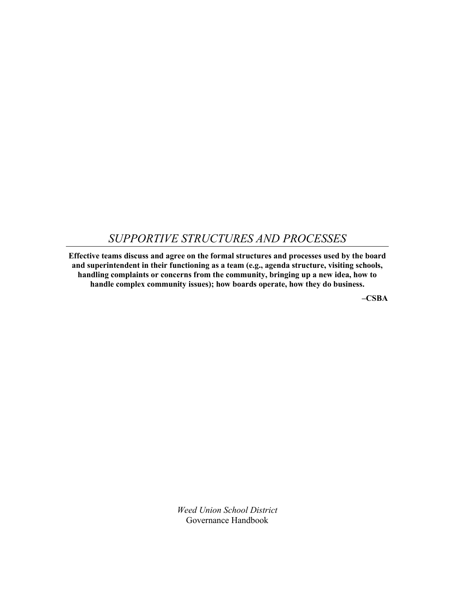### *SUPPORTIVE STRUCTURES AND PROCESSES*

**Effective teams discuss and agree on the formal structures and processes used by the board and superintendent in their functioning as a team (e.g., agenda structure, visiting schools, handling complaints or concerns from the community, bringing up a new idea, how to handle complex community issues); how boards operate, how they do business.**

**–CSBA**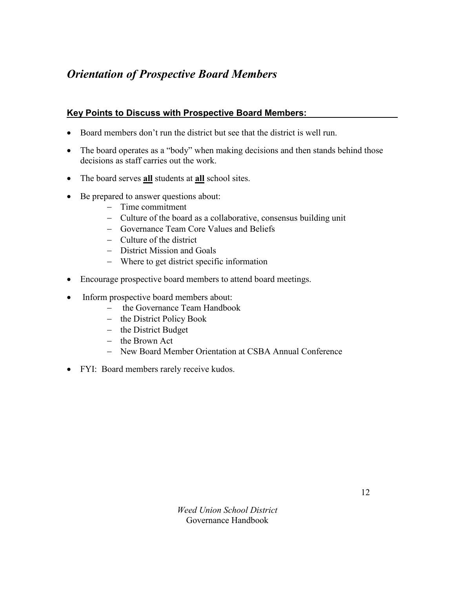# *Orientation of Prospective Board Members*

#### **Key Points to Discuss with Prospective Board Members:**

- Board members don't run the district but see that the district is well run.
- The board operates as a "body" when making decisions and then stands behind those decisions as staff carries out the work.
- The board serves **all** students at **all** school sites.
- Be prepared to answer questions about:
	- Time commitment
	- Culture of the board as a collaborative, consensus building unit
	- Governance Team Core Values and Beliefs
	- Culture of the district
	- District Mission and Goals
	- Where to get district specific information
- Encourage prospective board members to attend board meetings.
- Inform prospective board members about:
	- the Governance Team Handbook
	- the District Policy Book
	- $-$  the District Budget
	- $-$  the Brown Act
	- New Board Member Orientation at CSBA Annual Conference
- FYI: Board members rarely receive kudos.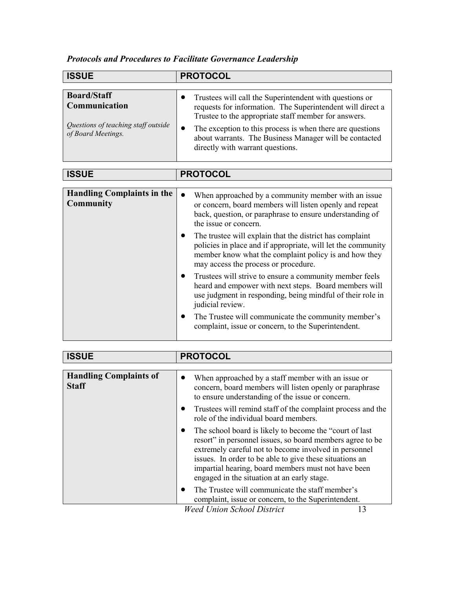### *Protocols and Procedures to Facilitate Governance Leadership*

| <b>ISSUE</b>                                                                                     | <b>PROTOCOL</b>                                                                                                                                                                                                                                                                                                                          |
|--------------------------------------------------------------------------------------------------|------------------------------------------------------------------------------------------------------------------------------------------------------------------------------------------------------------------------------------------------------------------------------------------------------------------------------------------|
|                                                                                                  |                                                                                                                                                                                                                                                                                                                                          |
| <b>Board/Staff</b><br>Communication<br>Questions of teaching staff outside<br>of Board Meetings. | Trustees will call the Superintendent with questions or<br>requests for information. The Superintendent will direct a<br>Trustee to the appropriate staff member for answers.<br>The exception to this process is when there are questions<br>about warrants. The Business Manager will be contacted<br>directly with warrant questions. |

| <b>ISSUE</b>                                          | <b>PROTOCOL</b>                                                                                                                                                                                                                        |
|-------------------------------------------------------|----------------------------------------------------------------------------------------------------------------------------------------------------------------------------------------------------------------------------------------|
|                                                       |                                                                                                                                                                                                                                        |
| <b>Handling Complaints in the</b><br><b>Community</b> | When approached by a community member with an issue.<br>$\bullet$<br>or concern, board members will listen openly and repeat<br>back, question, or paraphrase to ensure understanding of<br>the issue or concern.                      |
|                                                       | The trustee will explain that the district has complaint<br>$\bullet$<br>policies in place and if appropriate, will let the community<br>member know what the complaint policy is and how they<br>may access the process or procedure. |
|                                                       | Trustees will strive to ensure a community member feels<br>heard and empower with next steps. Board members will<br>use judgment in responding, being mindful of their role in<br>judicial review.                                     |
|                                                       | The Trustee will communicate the community member's<br>$\bullet$<br>complaint, issue or concern, to the Superintendent.                                                                                                                |

| <b>ISSUE</b>                                  | <b>PROTOCOL</b>                                                                                                                                                                                                                                                                                                                                              |
|-----------------------------------------------|--------------------------------------------------------------------------------------------------------------------------------------------------------------------------------------------------------------------------------------------------------------------------------------------------------------------------------------------------------------|
|                                               |                                                                                                                                                                                                                                                                                                                                                              |
| <b>Handling Complaints of</b><br><b>Staff</b> | When approached by a staff member with an issue or<br>concern, board members will listen openly or paraphrase<br>to ensure understanding of the issue or concern.                                                                                                                                                                                            |
|                                               | Trustees will remind staff of the complaint process and the<br>$\bullet$<br>role of the individual board members.                                                                                                                                                                                                                                            |
|                                               | The school board is likely to become the "court of last"<br>$\bullet$<br>resort" in personnel issues, so board members agree to be<br>extremely careful not to become involved in personnel<br>issues. In order to be able to give these situations an<br>impartial hearing, board members must not have been<br>engaged in the situation at an early stage. |
|                                               | The Trustee will communicate the staff member's<br>complaint, issue or concern, to the Superintendent.<br>Wood Union School District<br>12                                                                                                                                                                                                                   |

*Weed Union School District* 13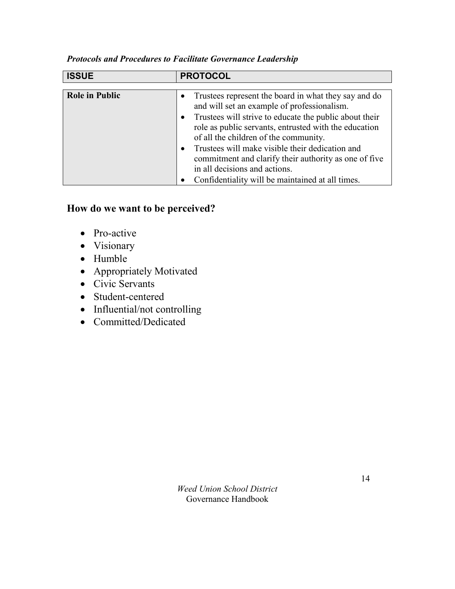| <b>ISSUE</b>          | <b>PROTOCOL</b>                                                                                                                                                                                                                                                                                                                                                                                                                                                                              |
|-----------------------|----------------------------------------------------------------------------------------------------------------------------------------------------------------------------------------------------------------------------------------------------------------------------------------------------------------------------------------------------------------------------------------------------------------------------------------------------------------------------------------------|
|                       |                                                                                                                                                                                                                                                                                                                                                                                                                                                                                              |
| <b>Role in Public</b> | • Trustees represent the board in what they say and do<br>and will set an example of professionalism.<br>Trustees will strive to educate the public about their<br>$\bullet$<br>role as public servants, entrusted with the education<br>of all the children of the community.<br>Trustees will make visible their dedication and<br>$\bullet$<br>commitment and clarify their authority as one of five<br>in all decisions and actions.<br>Confidentiality will be maintained at all times. |

#### *Protocols and Procedures to Facilitate Governance Leadership*

#### **How do we want to be perceived?**

- Pro-active
- Visionary
- Humble
- Appropriately Motivated
- Civic Servants
- Student-centered
- Influential/not controlling
- Committed/Dedicated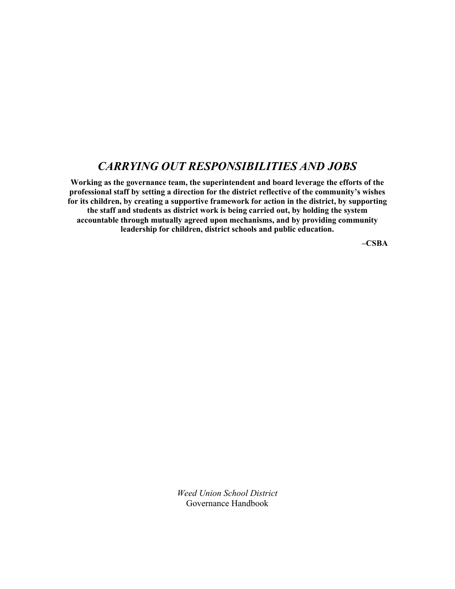### *CARRYING OUT RESPONSIBILITIES AND JOBS*

**Working as the governance team, the superintendent and board leverage the efforts of the professional staff by setting a direction for the district reflective of the community's wishes for its children, by creating a supportive framework for action in the district, by supporting the staff and students as district work is being carried out, by holding the system accountable through mutually agreed upon mechanisms, and by providing community leadership for children, district schools and public education.**

**–CSBA**